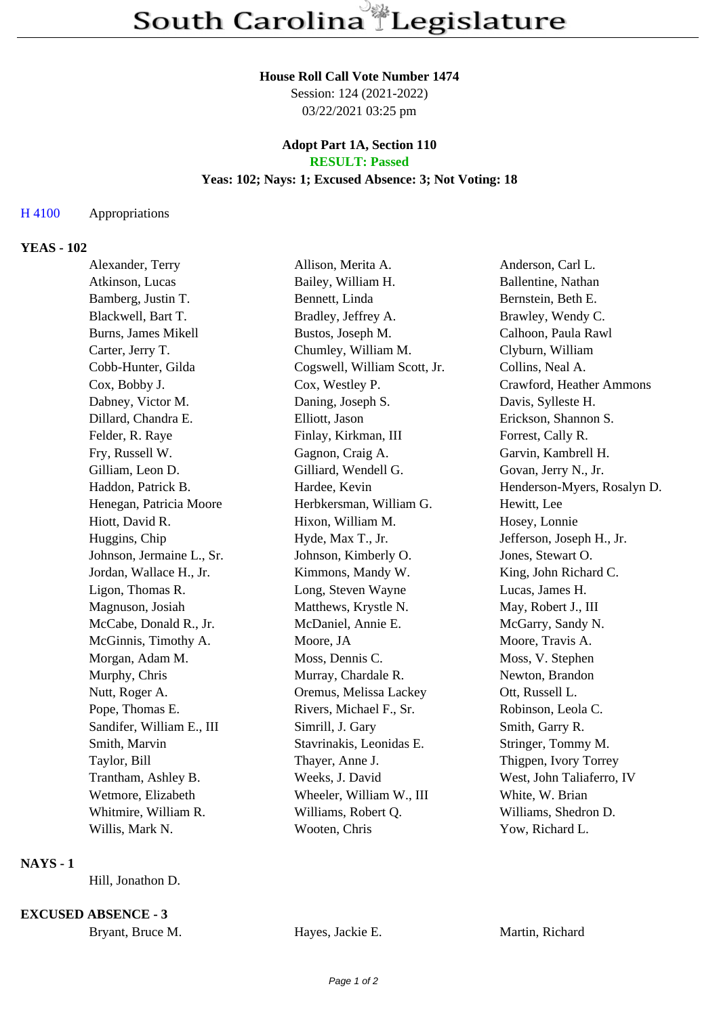#### **House Roll Call Vote Number 1474**

Session: 124 (2021-2022) 03/22/2021 03:25 pm

#### **Adopt Part 1A, Section 110 RESULT: Passed**

# **Yeas: 102; Nays: 1; Excused Absence: 3; Not Voting: 18**

## H 4100 Appropriations

# **YEAS - 102**

| Alexander, Terry          | Allison, Merita A.           | Anderson, Carl L.           |
|---------------------------|------------------------------|-----------------------------|
| Atkinson, Lucas           | Bailey, William H.           | Ballentine, Nathan          |
| Bamberg, Justin T.        | Bennett, Linda               | Bernstein, Beth E.          |
| Blackwell, Bart T.        | Bradley, Jeffrey A.          | Brawley, Wendy C.           |
| Burns, James Mikell       | Bustos, Joseph M.            | Calhoon, Paula Rawl         |
| Carter, Jerry T.          | Chumley, William M.          | Clyburn, William            |
| Cobb-Hunter, Gilda        | Cogswell, William Scott, Jr. | Collins, Neal A.            |
| Cox, Bobby J.             | Cox, Westley P.              | Crawford, Heather Ammons    |
| Dabney, Victor M.         | Daning, Joseph S.            | Davis, Sylleste H.          |
| Dillard, Chandra E.       | Elliott, Jason               | Erickson, Shannon S.        |
| Felder, R. Raye           | Finlay, Kirkman, III         | Forrest, Cally R.           |
| Fry, Russell W.           | Gagnon, Craig A.             | Garvin, Kambrell H.         |
| Gilliam, Leon D.          | Gilliard, Wendell G.         | Govan, Jerry N., Jr.        |
| Haddon, Patrick B.        | Hardee, Kevin                | Henderson-Myers, Rosalyn D. |
| Henegan, Patricia Moore   | Herbkersman, William G.      | Hewitt, Lee                 |
| Hiott, David R.           | Hixon, William M.            | Hosey, Lonnie               |
| Huggins, Chip             | Hyde, Max T., Jr.            | Jefferson, Joseph H., Jr.   |
| Johnson, Jermaine L., Sr. | Johnson, Kimberly O.         | Jones, Stewart O.           |
| Jordan, Wallace H., Jr.   | Kimmons, Mandy W.            | King, John Richard C.       |
| Ligon, Thomas R.          | Long, Steven Wayne           | Lucas, James H.             |
| Magnuson, Josiah          | Matthews, Krystle N.         | May, Robert J., III         |
| McCabe, Donald R., Jr.    | McDaniel, Annie E.           | McGarry, Sandy N.           |
| McGinnis, Timothy A.      | Moore, JA                    | Moore, Travis A.            |
| Morgan, Adam M.           | Moss, Dennis C.              | Moss, V. Stephen            |
| Murphy, Chris             | Murray, Chardale R.          | Newton, Brandon             |
| Nutt, Roger A.            | Oremus, Melissa Lackey       | Ott, Russell L.             |
| Pope, Thomas E.           | Rivers, Michael F., Sr.      | Robinson, Leola C.          |
| Sandifer, William E., III | Simrill, J. Gary             | Smith, Garry R.             |
| Smith, Marvin             | Stavrinakis, Leonidas E.     | Stringer, Tommy M.          |
| Taylor, Bill              | Thayer, Anne J.              | Thigpen, Ivory Torrey       |
| Trantham, Ashley B.       | Weeks, J. David              | West, John Taliaferro, IV   |
| Wetmore, Elizabeth        | Wheeler, William W., III     | White, W. Brian             |
| Whitmire, William R.      | Williams, Robert Q.          | Williams, Shedron D.        |
| Willis, Mark N.           | Wooten, Chris                | Yow, Richard L.             |

### **NAYS - 1**

Hill, Jonathon D.

**EXCUSED ABSENCE - 3**

| Bryant, Bruce M. | Hayes, Jackie E. | Martin, Richard |
|------------------|------------------|-----------------|
|                  |                  |                 |